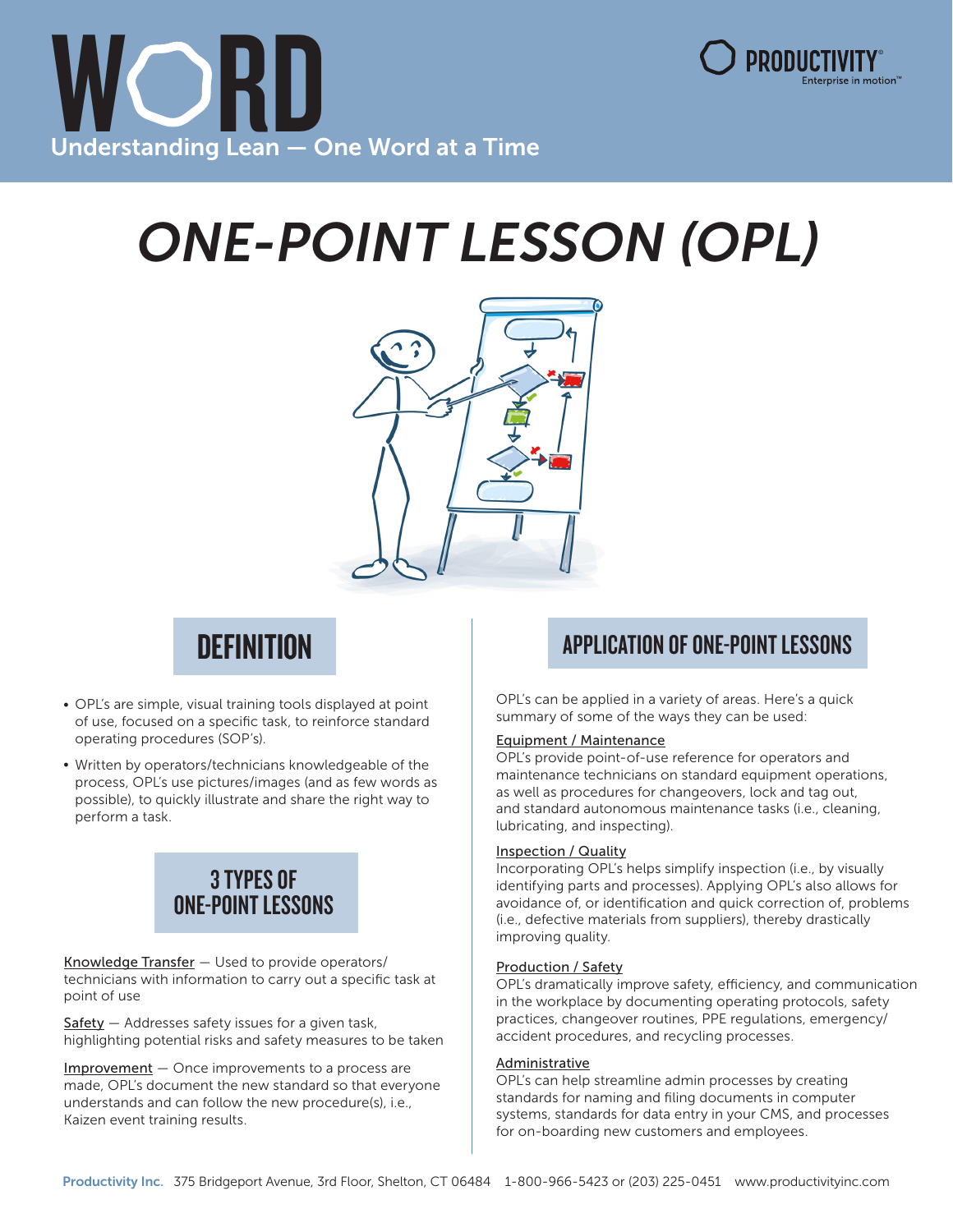



# ONE-POINT LESSON (OPL)



## **DEFINITION**

- OPL's are simple, visual training tools displayed at point of use, focused on a specific task, to reinforce standard operating procedures (SOP's).
- Written by operators/technicians knowledgeable of the process, OPL's use pictures/images (and as few words as possible), to quickly illustrate and share the right way to perform a task.

## 3 TYPES OF ONE-POINT LESSONS

Knowledge Transfer — Used to provide operators/ technicians with information to carry out a specific task at point of use

 $Safety - Addresses safety issues for a given task,$ highlighting potential risks and safety measures to be taken

Improvement - Once improvements to a process are made, OPL's document the new standard so that everyone understands and can follow the new procedure(s), i.e., Kaizen event training results.

### APPLICATION OF ONE-POINT LESSONS

OPL's can be applied in a variety of areas. Here's a quick summary of some of the ways they can be used:

#### Equipment / Maintenance

OPL's provide point-of-use reference for operators and maintenance technicians on standard equipment operations, as well as procedures for changeovers, lock and tag out, and standard autonomous maintenance tasks (i.e., cleaning, lubricating, and inspecting).

#### Inspection / Quality

Incorporating OPL's helps simplify inspection (i.e., by visually identifying parts and processes). Applying OPL's also allows for avoidance of, or identification and quick correction of, problems (i.e., defective materials from suppliers), thereby drastically improving quality.

#### Production / Safety

OPL's dramatically improve safety, efficiency, and communication in the workplace by documenting operating protocols, safety practices, changeover routines, PPE regulations, emergency/ accident procedures, and recycling processes.

#### Administrative

OPL's can help streamline admin processes by creating standards for naming and filing documents in computer systems, standards for data entry in your CMS, and processes for on-boarding new customers and employees.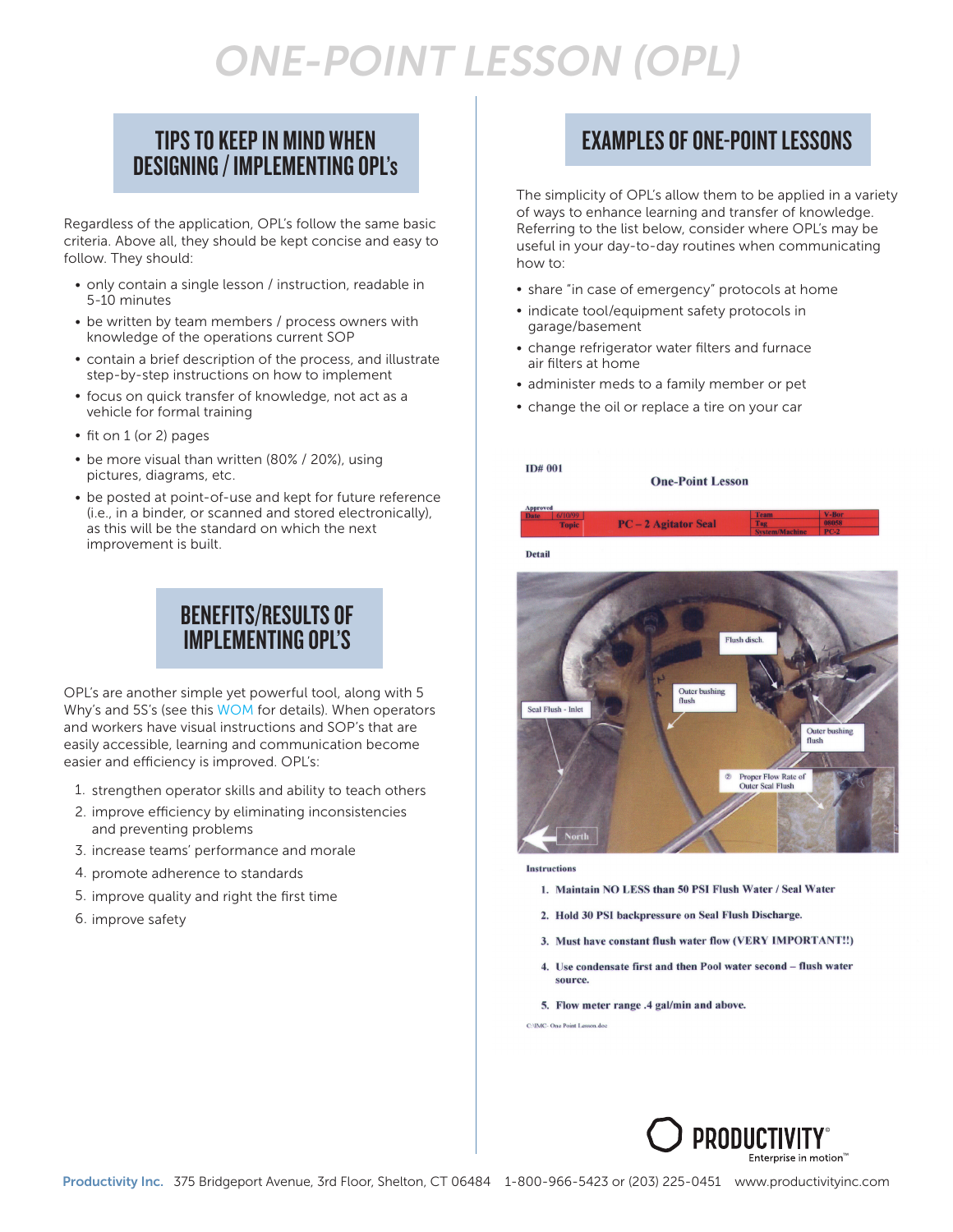## ONE-POINT LESSON (OPL)

#### TIPS TO KEEP IN MIND WHEN DESIGNING / IMPLEMENTING OPL's

Regardless of the application, OPL's follow the same basic criteria. Above all, they should be kept concise and easy to follow. They should:

- only contain a single lesson / instruction, readable in 5-10 minutes
- be written by team members / process owners with knowledge of the operations current SOP
- contain a brief description of the process, and illustrate step-by-step instructions on how to implement
- focus on quick transfer of knowledge, not act as a vehicle for formal training
- fit on 1 (or 2) pages
- be more visual than written (80% / 20%), using pictures, diagrams, etc.
- be posted at point-of-use and kept for future reference (i.e., in a binder, or scanned and stored electronically), as this will be the standard on which the next improvement is built.

#### BENEFITS/RESULTS OF IMPLEMENTING OPL'S

OPL's are another simple yet powerful tool, along with 5 Why's and 5S's (se[e this WOM for det](https://www.productivityinc.com/wp-content/uploads/2022/02/WORD-OF-THE-MONTH-15.pdf)ails). When operators and workers have visual instructions and SOP's that are easily accessible, learning and communication become easier and efficiency is improved. OPL's:

- 1. strengthen operator skills and ability to teach others
- 2. improve efficiency by eliminating inconsistencies and preventing problems
- 3. increase teams' performance and morale
- 4. promote adherence to standards
- 5. improve quality and right the first time
- 6. improve safety

#### EXAMPLES OF ONE-POINT LESSONS

The simplicity of OPL's allow them to be applied in a variety of ways to enhance learning and transfer of knowledge. Referring to the list below, consider where OPL's may be useful in your day-to-day routines when communicating how to:

- share "in case of emergency" protocols at home
- indicate tool/equipment safety protocols in garage/basement
- change refrigerator water filters and furnace air filters at home
- administer meds to a family member or pet
- change the oil or replace a tire on your car

#### **ID# 001**

**One-Point Lesson** 



**Detail** 



Instructions

- 1. Maintain NO LESS than 50 PSI Flush Water / Seal Water
- 2. Hold 30 PSI backpressure on Seal Flush Discharge.
- 3. Must have constant flush water flow (VERY IMPORTANT!!)
- 4. Use condensate first and then Pool water second flush water source.

5. Flow meter range .4 gal/min and above.

C:\IMC- One Point Lesson doc